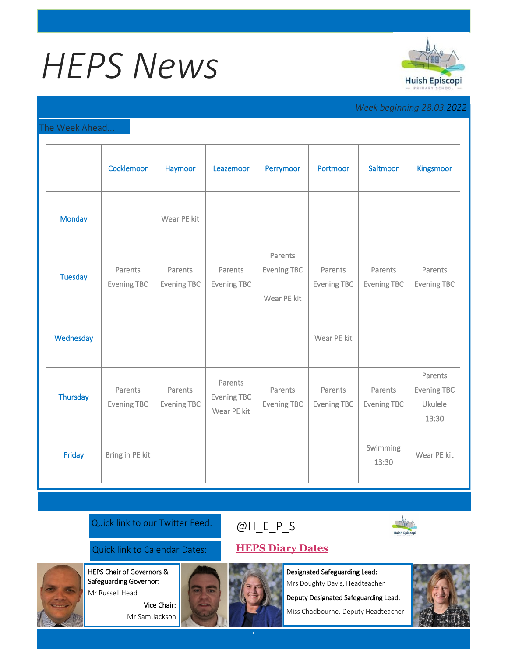# *HEPS News*



*Week beginning 28.03.2022*

## The Week Ahead...

|                | Cocklemoor                    | Haymoor                       | Leazemoor                                    | Perrymoor                                    | Portmoor                      | Saltmoor                      | Kingsmoor                                                |
|----------------|-------------------------------|-------------------------------|----------------------------------------------|----------------------------------------------|-------------------------------|-------------------------------|----------------------------------------------------------|
| <b>Monday</b>  |                               | Wear PE kit                   |                                              |                                              |                               |                               |                                                          |
| <b>Tuesday</b> | Parents<br><b>Evening TBC</b> | Parents<br><b>Evening TBC</b> | Parents<br>Evening TBC                       | Parents<br><b>Evening TBC</b><br>Wear PE kit | Parents<br><b>Evening TBC</b> | Parents<br><b>Evening TBC</b> | Parents<br><b>Evening TBC</b>                            |
| Wednesday      |                               |                               |                                              |                                              | Wear PE kit                   |                               |                                                          |
| Thursday       | Parents<br><b>Evening TBC</b> | Parents<br><b>Evening TBC</b> | Parents<br><b>Evening TBC</b><br>Wear PE kit | Parents<br><b>Evening TBC</b>                | Parents<br><b>Evening TBC</b> | Parents<br><b>Evening TBC</b> | Parents<br><b>Evening TBC</b><br><b>Ukulele</b><br>13:30 |
| Friday         | Bring in PE kit               |                               |                                              |                                              |                               | Swimming<br>13:30             | Wear PE kit                                              |

Quick link to our Twitter Feed:

## [@H\\_E\\_](https://huishepiscopiprimary.co.uk/diary-dates/)P\_S



Quick link to Calendar Dates: **[HEPS Diary Dates](https://huishepiscopiprimary.co.uk/diary-dates/)**

Vice Chair: Mr Sam Jackson

HEPS Chair of Governors & Safeguarding Governor: Mr Russell Head

Designated Safeguarding Lead: Mrs Doughty Davis, Headteacher

Deputy Designated Safeguarding Lead:

Miss Chadbourne, Deputy Headteacher

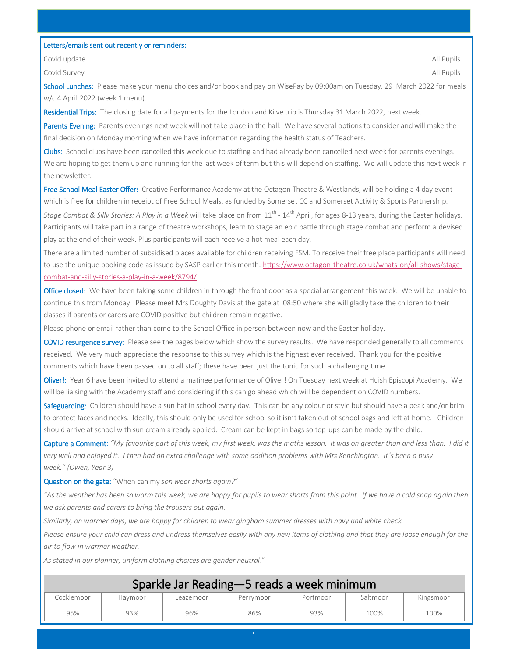### Letters/emails sent out recently or reminders:

Covid update All Pupils and the Covid update All Pupils and the Covid update All Pupils and the All Pupils and

Covid Survey All Pupils

School Lunches: Please make your menu choices and/or book and pay on WisePay by 09:00am on Tuesday, 29 March 2022 for meals w/c 4 April 2022 (week 1 menu).

Residential Trips: The closing date for all payments for the London and Kilve trip is Thursday 31 March 2022, next week.

Parents Evening: Parents evenings next week will not take place in the hall. We have several options to consider and will make the final decision on Monday morning when we have information regarding the health status of Teachers.

Clubs: School clubs have been cancelled this week due to staffing and had already been cancelled next week for parents evenings. We are hoping to get them up and running for the last week of term but this will depend on staffing. We will update this next week in the newsletter.

Free School Meal Easter Offer: Creative Performance Academy at the Octagon Theatre & Westlands, will be holding a 4 day event which is free for children in receipt of Free School Meals, as funded by Somerset CC and Somerset Activity & Sports Partnership.

Stage Combat & Silly Stories: A Play in a Week will take place on from 11<sup>th</sup> - 14<sup>th</sup> April, for ages 8-13 years, during the Easter holidays. Participants will take part in a range of theatre workshops, learn to stage an epic battle through stage combat and perform a devised play at the end of their week. Plus participants will each receive a hot meal each day.

There are a limited number of subsidised places available for children receiving FSM. To receive their free place participants will need to use the unique booking code as issued by SASP earlier this month. [https://www.octagon](https://urlsand.esvalabs.com/?u=https%3A%2F%2Fwww.octagon-theatre.co.uk%2Fwhats-on%2Fall-shows%2Fstage-combat-and-silly-stories-a-play-in-a-week%2F8794%2F&e=53588852&h=213aded7&f=y&p=n)-theatre.co.uk/whats-on/all-shows/stagecombat-and-silly-stories-a-play-in-a-[week/8794/](https://urlsand.esvalabs.com/?u=https%3A%2F%2Fwww.octagon-theatre.co.uk%2Fwhats-on%2Fall-shows%2Fstage-combat-and-silly-stories-a-play-in-a-week%2F8794%2F&e=53588852&h=213aded7&f=y&p=n)

Office closed: We have been taking some children in through the front door as a special arrangement this week. We will be unable to continue this from Monday. Please meet Mrs Doughty Davis at the gate at 08:50 where she will gladly take the children to their classes if parents or carers are COVID positive but children remain negative.

Please phone or email rather than come to the School Office in person between now and the Easter holiday.

COVID resurgence survey: Please see the pages below which show the survey results. We have responded generally to all comments received. We very much appreciate the response to this survey which is the highest ever received. Thank you for the positive comments which have been passed on to all staff; these have been just the tonic for such a challenging time.

Oliver!: Year 6 have been invited to attend a matinee performance of Oliver! On Tuesday next week at Huish Episcopi Academy. We will be liaising with the Academy staff and considering if this can go ahead which will be dependent on COVID numbers.

Safeguarding: Children should have a sun hat in school every day. This can be any colour or style but should have a peak and/or brim to protect faces and necks. Ideally, this should only be used for school so it isn't taken out of school bags and left at home. Children should arrive at school with sun cream already applied. Cream can be kept in bags so top-ups can be made by the child.

Capture a Comment: *"My favourite part of this week, my first week, was the maths lesson. It was on greater than and less than. I did it very well and enjoyed it. I then had an extra challenge with some addition problems with Mrs Kenchington. It's been a busy week." (Owen, Year 3)*

Question on the gate: "When can my *son wear shorts again?"* 

*"As the weather has been so warm this week, we are happy for pupils to wear shorts from this point. If we have a cold snap again then we ask parents and carers to bring the trousers out again.* 

*Similarly, on warmer days, we are happy for children to wear gingham summer dresses with navy and white check.* 

*Please ensure your child can dress and undress themselves easily with any new items of clothing and that they are loose enough for the air to flow in warmer weather.*

*As stated in our planner, uniform clothing choices are gender neutral*."

| Sparkle Jar Reading—5 reads a week minimum |         |           |           |          |          |           |  |  |  |  |
|--------------------------------------------|---------|-----------|-----------|----------|----------|-----------|--|--|--|--|
| Cocklemoor                                 | Havmoor | Leazemoor | Perrymoor | Portmoor | Saltmoor | Kingsmoor |  |  |  |  |
| 95%                                        | 93%     | 96%       | 86%       | 93%      | 100%     | 100%      |  |  |  |  |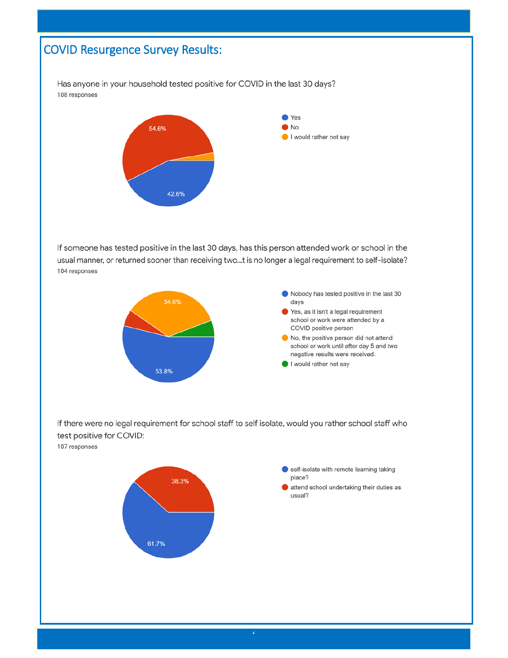## COVID Resurgence Survey Results:

Has anyone in your household tested positive for COVID in the last 30 days? 108 responses



If someone has tested positive in the last 30 days, has this person attended work or school in the usual manner, or returned sooner than receiving two...t is no longer a legal requirement to self-isolate? 104 responses



If there were no legal requirement for school staff to self isolate, would you rather school staff who test positive for COVID:

107 responses

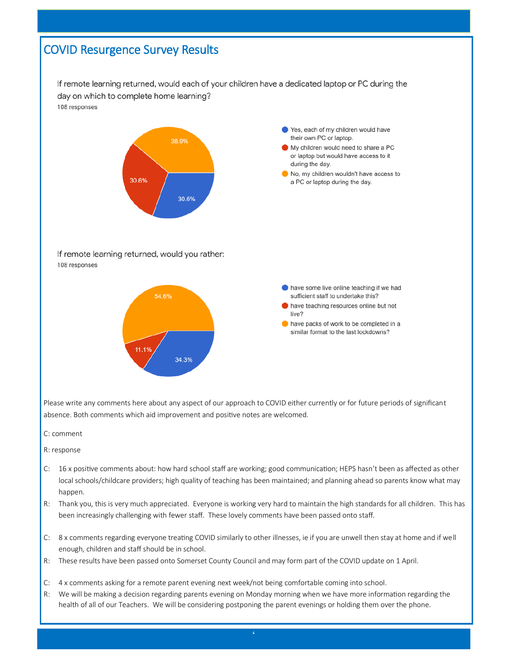## COVID Resurgence Survey Results

If remote learning returned, would each of your children have a dedicated laptop or PC during the day on which to complete home learning? 108 responses



Please write any comments here about any aspect of our approach to COVID either currently or for future periods of significant absence. Both comments which aid improvement and positive notes are welcomed.

- C: comment
- R: response
- C: 16 x positive comments about: how hard school staff are working; good communication; HEPS hasn't been as affected as other local schools/childcare providers; high quality of teaching has been maintained; and planning ahead so parents know what may happen.
- R: Thank you, this is very much appreciated. Everyone is working very hard to maintain the high standards for all children. This has been increasingly challenging with fewer staff. These lovely comments have been passed onto staff.
- C: 8 x comments regarding everyone treating COVID similarly to other illnesses, ie if you are unwell then stay at home and if well enough, children and staff should be in school.
- R: These results have been passed onto Somerset County Council and may form part of the COVID update on 1 April.
- C: 4 x comments asking for a remote parent evening next week/not being comfortable coming into school.
- R: We will be making a decision regarding parents evening on Monday morning when we have more information regarding the health of all of our Teachers. We will be considering postponing the parent evenings or holding them over the phone.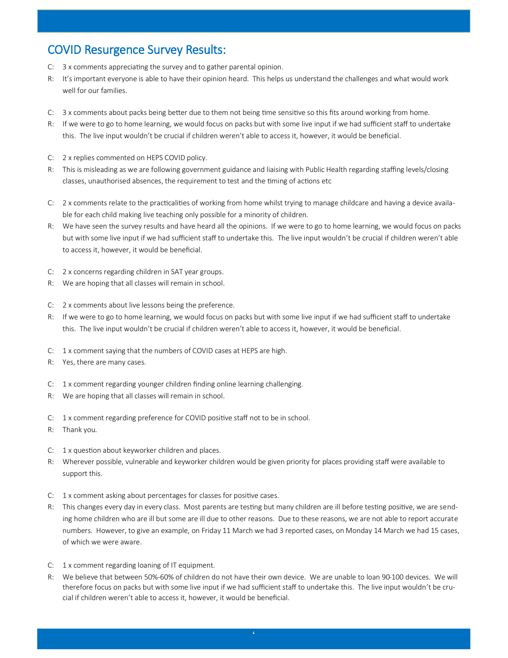## COVID Resurgence Survey Results:

- C: 3 x comments appreciating the survey and to gather parental opinion.
- R: It's important everyone is able to have their opinion heard. This helps us understand the challenges and what would work well for our families.
- C: 3 x comments about packs being better due to them not being time sensitive so this fits around working from home.
- R: If we were to go to home learning, we would focus on packs but with some live input if we had sufficient staff to undertake this. The live input wouldn't be crucial if children weren't able to access it, however, it would be beneficial.
- C: 2 x replies commented on HEPS COVID policy.
- R: This is misleading as we are following government guidance and liaising with Public Health regarding staffing levels/closing classes, unauthorised absences, the requirement to test and the timing of actions etc
- C: 2 x comments relate to the practicalities of working from home whilst trying to manage childcare and having a device available for each child making live teaching only possible for a minority of children.
- R: We have seen the survey results and have heard all the opinions. If we were to go to home learning, we would focus on packs but with some live input if we had sufficient staff to undertake this. The live input wouldn't be crucial if children weren't able to access it, however, it would be beneficial.
- C: 2 x concerns regarding children in SAT year groups.
- R: We are hoping that all classes will remain in school.
- C: 2 x comments about live lessons being the preference.
- R: If we were to go to home learning, we would focus on packs but with some live input if we had sufficient staff to undertake this. The live input wouldn't be crucial if children weren't able to access it, however, it would be beneficial.
- C: 1 x comment saying that the numbers of COVID cases at HEPS are high.
- R: Yes, there are many cases.
- C: 1 x comment regarding younger children finding online learning challenging.
- R: We are hoping that all classes will remain in school.
- C: 1 x comment regarding preference for COVID positive staff not to be in school.
- R: Thank you.
- C: 1 x question about keyworker children and places.
- R: Wherever possible, vulnerable and keyworker children would be given priority for places providing staff were available to support this.
- C: 1 x comment asking about percentages for classes for positive cases.
- R: This changes every day in every class. Most parents are testing but many children are ill before testing positive, we are sending home children who are ill but some are ill due to other reasons. Due to these reasons, we are not able to report accurate numbers. However, to give an example, on Friday 11 March we had 3 reported cases, on Monday 14 March we had 15 cases, of which we were aware.
- C: 1 x comment regarding loaning of IT equipment.
- R: We believe that between 50%-60% of children do not have their own device. We are unable to loan 90-100 devices. We will therefore focus on packs but with some live input if we had sufficient staff to undertake this. The live input wouldn't be crucial if children weren't able to access it, however, it would be beneficial.